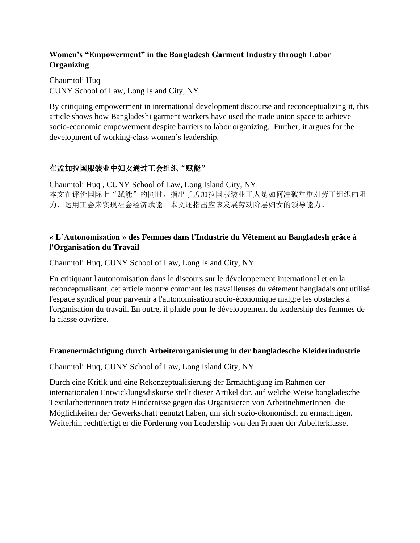### **Women's "Empowerment" in the Bangladesh Garment Industry through Labor Organizing**

Chaumtoli Huq CUNY School of Law, Long Island City, NY

By critiquing empowerment in international development discourse and reconceptualizing it, this article shows how Bangladeshi garment workers have used the trade union space to achieve socio-economic empowerment despite barriers to labor organizing. Further, it argues for the development of working-class women's leadership.

# 在孟加拉国服装业中妇女通过工会组织"赋能"

Chaumtoli Huq , CUNY School of Law, Long Island City, NY 本文在评价国际上"赋能"的同时,指出了孟加拉国服装业工人是如何冲破重重对劳工组织的阻 力,运用工会来实现社会经济赋能。本文还指出应该发展劳动阶层妇女的领导能力。

### **« L'Autonomisation » des Femmes dans l'Industrie du Vêtement au Bangladesh grâce à l'Organisation du Travail**

Chaumtoli Huq, CUNY School of Law, Long Island City, NY

En critiquant l'autonomisation dans le discours sur le développement international et en la reconceptualisant, cet article montre comment les travailleuses du vêtement bangladais ont utilisé l'espace syndical pour parvenir à l'autonomisation socio-économique malgré les obstacles à l'organisation du travail. En outre, il plaide pour le développement du leadership des femmes de la classe ouvrière.

#### **Frauenermächtigung durch Arbeiterorganisierung in der bangladesche Kleiderindustrie**

Chaumtoli Huq, CUNY School of Law, Long Island City, NY

Durch eine Kritik und eine Rekonzeptualisierung der Ermächtigung im Rahmen der internationalen Entwicklungsdiskurse stellt dieser Artikel dar, auf welche Weise bangladesche Textilarbeiterinnen trotz Hindernisse gegen das Organisieren von ArbeitnehmerInnen die Möglichkeiten der Gewerkschaft genutzt haben, um sich sozio-ökonomisch zu ermächtigen. Weiterhin rechtfertigt er die Förderung von Leadership von den Frauen der Arbeiterklasse.